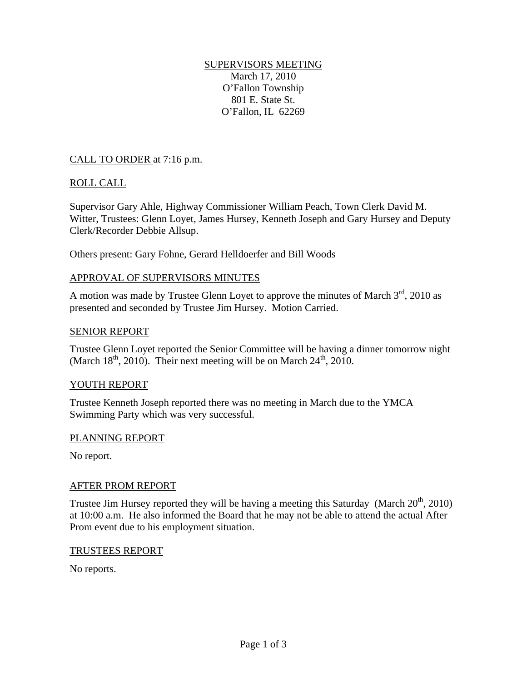## SUPERVISORS MEETING March 17, 2010 O'Fallon Township 801 E. State St. O'Fallon, IL 62269

## CALL TO ORDER at 7:16 p.m.

## ROLL CALL

Supervisor Gary Ahle, Highway Commissioner William Peach, Town Clerk David M. Witter, Trustees: Glenn Loyet, James Hursey, Kenneth Joseph and Gary Hursey and Deputy Clerk/Recorder Debbie Allsup.

Others present: Gary Fohne, Gerard Helldoerfer and Bill Woods

## APPROVAL OF SUPERVISORS MINUTES

A motion was made by Trustee Glenn Loyet to approve the minutes of March  $3<sup>rd</sup>$ , 2010 as presented and seconded by Trustee Jim Hursey. Motion Carried.

#### SENIOR REPORT

Trustee Glenn Loyet reported the Senior Committee will be having a dinner tomorrow night (March  $18<sup>th</sup>$ , 2010). Their next meeting will be on March  $24<sup>th</sup>$ , 2010.

## YOUTH REPORT

Trustee Kenneth Joseph reported there was no meeting in March due to the YMCA Swimming Party which was very successful.

## PLANNING REPORT

No report.

## AFTER PROM REPORT

Trustee Jim Hursey reported they will be having a meeting this Saturday (March  $20^{th}$ , 2010) at 10:00 a.m. He also informed the Board that he may not be able to attend the actual After Prom event due to his employment situation.

#### TRUSTEES REPORT

No reports.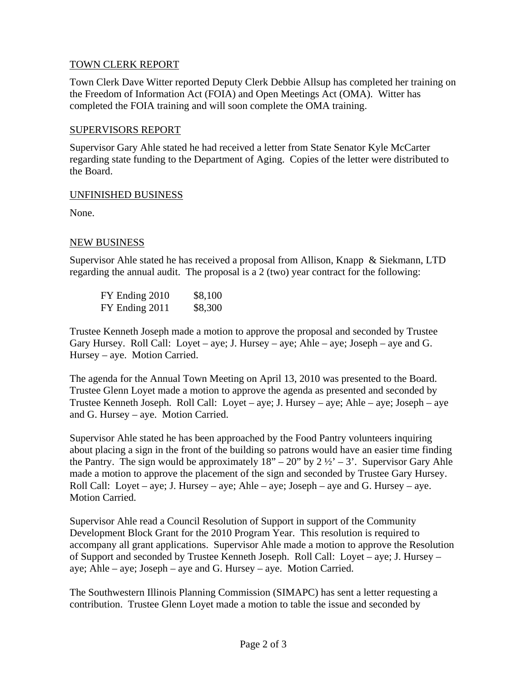# TOWN CLERK REPORT

Town Clerk Dave Witter reported Deputy Clerk Debbie Allsup has completed her training on the Freedom of Information Act (FOIA) and Open Meetings Act (OMA). Witter has completed the FOIA training and will soon complete the OMA training.

## SUPERVISORS REPORT

Supervisor Gary Ahle stated he had received a letter from State Senator Kyle McCarter regarding state funding to the Department of Aging. Copies of the letter were distributed to the Board.

## UNFINISHED BUSINESS

None.

# NEW BUSINESS

Supervisor Ahle stated he has received a proposal from Allison, Knapp & Siekmann, LTD regarding the annual audit. The proposal is a 2 (two) year contract for the following:

| FY Ending 2010 | \$8,100 |
|----------------|---------|
| FY Ending 2011 | \$8,300 |

Trustee Kenneth Joseph made a motion to approve the proposal and seconded by Trustee Gary Hursey. Roll Call: Loyet – aye; J. Hursey – aye; Ahle – aye; Joseph – aye and G. Hursey – aye. Motion Carried.

The agenda for the Annual Town Meeting on April 13, 2010 was presented to the Board. Trustee Glenn Loyet made a motion to approve the agenda as presented and seconded by Trustee Kenneth Joseph. Roll Call: Loyet – aye; J. Hursey – aye; Ahle – aye; Joseph – aye and G. Hursey – aye. Motion Carried.

Supervisor Ahle stated he has been approached by the Food Pantry volunteers inquiring about placing a sign in the front of the building so patrons would have an easier time finding the Pantry. The sign would be approximately  $18" - 20"$  by  $2\frac{1}{2}$  – 3'. Supervisor Gary Ahle made a motion to approve the placement of the sign and seconded by Trustee Gary Hursey. Roll Call: Loyet – aye; J. Hursey – aye; Ahle – aye; Joseph – aye and G. Hursey – aye. Motion Carried.

Supervisor Ahle read a Council Resolution of Support in support of the Community Development Block Grant for the 2010 Program Year. This resolution is required to accompany all grant applications. Supervisor Ahle made a motion to approve the Resolution of Support and seconded by Trustee Kenneth Joseph. Roll Call: Loyet – aye; J. Hursey – aye; Ahle – aye; Joseph – aye and G. Hursey – aye. Motion Carried.

The Southwestern Illinois Planning Commission (SIMAPC) has sent a letter requesting a contribution. Trustee Glenn Loyet made a motion to table the issue and seconded by